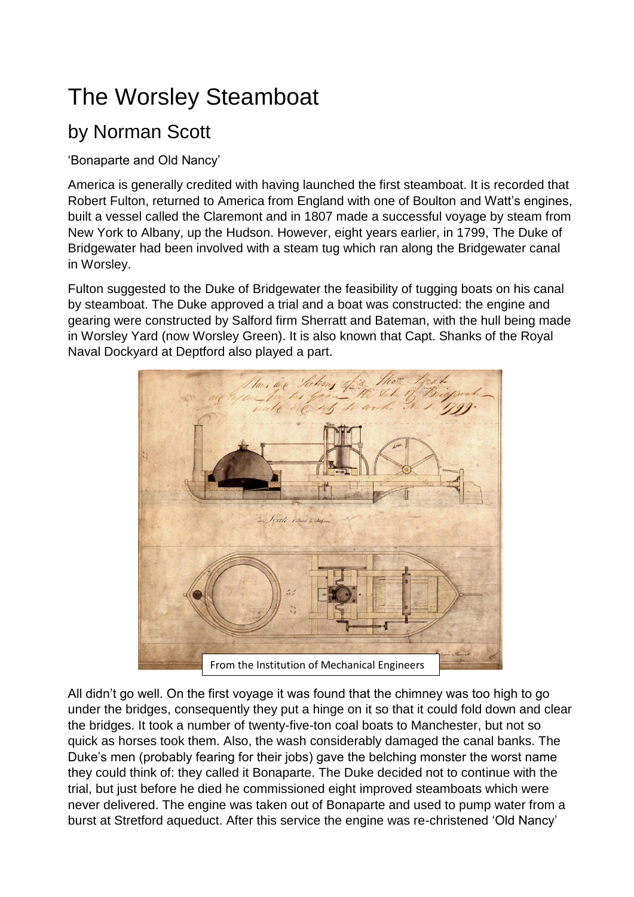## The Worsley Steamboat

## by Norman Scott

'Bonaparte and Old Nancy'

America is generally credited with having launched the first steamboat. It is recorded that Robert Fulton, returned to America from England with one of Boulton and Watt's engines, built a vessel called the Claremont and in 1807 made a successful voyage by steam from New York to Albany, up the Hudson. However, eight years earlier, in 1799, The Duke of Bridgewater had been involved with a steam tug which ran along the Bridgewater canal in Worsley.

Fulton suggested to the Duke of Bridgewater the feasibility of tugging boats on his canal by steamboat. The Duke approved a trial and a boat was constructed: the engine and gearing were constructed by Salford firm Sherratt and Bateman, with the hull being made in Worsley Yard (now Worsley Green). It is also known that Capt. Shanks of the Royal Naval Dockyard at Deptford also played a part.



All didn't go well. On the first voyage it was found that the chimney was too high to go under the bridges, consequently they put a hinge on it so that it could fold down and clear the bridges. It took a number of twenty-five-ton coal boats to Manchester, but not so quick as horses took them. Also, the wash considerably damaged the canal banks. The Duke's men (probably fearing for their jobs) gave the belching monster the worst name they could think of: they called it Bonaparte. The Duke decided not to continue with the trial, but just before he died he commissioned eight improved steamboats which were never delivered. The engine was taken out of Bonaparte and used to pump water from a burst at Stretford aqueduct. After this service the engine was re-christened 'Old Nancy'